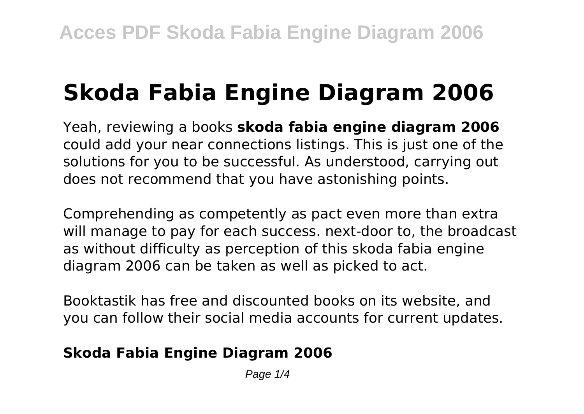# **Skoda Fabia Engine Diagram 2006**

Yeah, reviewing a books **skoda fabia engine diagram 2006** could add your near connections listings. This is just one of the solutions for you to be successful. As understood, carrying out does not recommend that you have astonishing points.

Comprehending as competently as pact even more than extra will manage to pay for each success. next-door to, the broadcast as without difficulty as perception of this skoda fabia engine diagram 2006 can be taken as well as picked to act.

Booktastik has free and discounted books on its website, and you can follow their social media accounts for current updates.

### **Skoda Fabia Engine Diagram 2006**

Page  $1/4$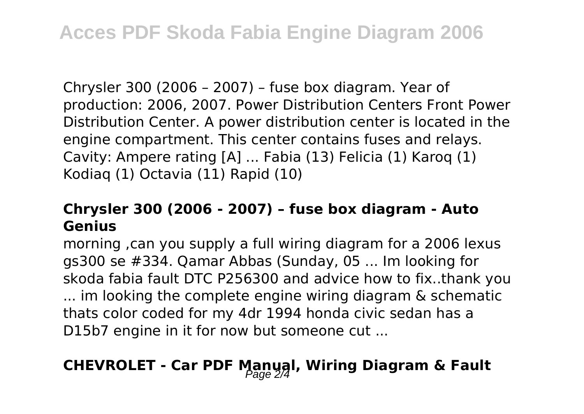Chrysler 300 (2006 – 2007) – fuse box diagram. Year of production: 2006, 2007. Power Distribution Centers Front Power Distribution Center. A power distribution center is located in the engine compartment. This center contains fuses and relays. Cavity: Ampere rating [A] ... Fabia (13) Felicia (1) Karoq (1) Kodiaq (1) Octavia (11) Rapid (10)

### **Chrysler 300 (2006 - 2007) – fuse box diagram - Auto Genius**

morning ,can you supply a full wiring diagram for a 2006 lexus gs300 se #334. Qamar Abbas (Sunday, 05 ... Im looking for skoda fabia fault DTC P256300 and advice how to fix..thank you ... im looking the complete engine wiring diagram & schematic thats color coded for my 4dr 1994 honda civic sedan has a D15b7 engine in it for now but someone cut ...

## **CHEVROLET - Car PDF Manual, Wiring Diagram & Fault** Page 2/4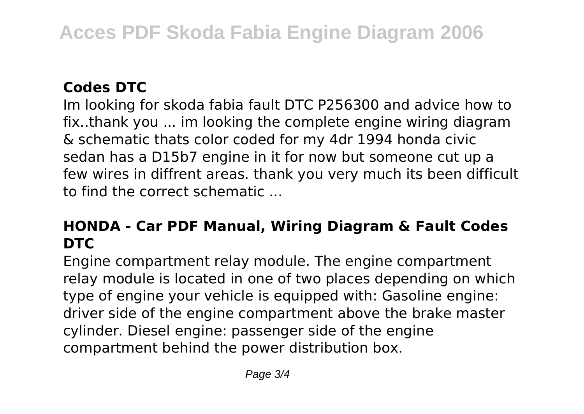### **Codes DTC**

Im looking for skoda fabia fault DTC P256300 and advice how to fix..thank you ... im looking the complete engine wiring diagram & schematic thats color coded for my 4dr 1994 honda civic sedan has a D15b7 engine in it for now but someone cut up a few wires in diffrent areas. thank you very much its been difficult to find the correct schematic ...

### **HONDA - Car PDF Manual, Wiring Diagram & Fault Codes DTC**

Engine compartment relay module. The engine compartment relay module is located in one of two places depending on which type of engine your vehicle is equipped with: Gasoline engine: driver side of the engine compartment above the brake master cylinder. Diesel engine: passenger side of the engine compartment behind the power distribution box.